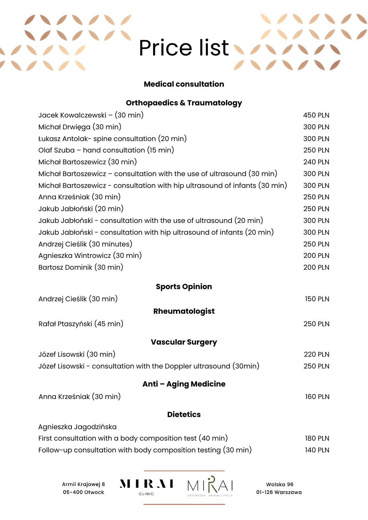# Price list

## **Medical consultation**

## **Orthopaedics & Traumatology**

| Jacek Kowalczewski – (30 min)                                              | <b>450 PLN</b> |
|----------------------------------------------------------------------------|----------------|
| Michał Drwięga (30 min)                                                    | <b>300 PLN</b> |
| Łukasz Antolak- spine consultation (20 min)                                | <b>300 PLN</b> |
| Olaf Szuba - hand consultation (15 min)                                    | <b>250 PLN</b> |
| Michał Bartoszewicz (30 min)                                               | <b>240 PLN</b> |
| Michał Bartoszewicz – consultation with the use of ultrasound (30 min)     | <b>300 PLN</b> |
| Michał Bartoszewicz - consultation with hip ultrasound of infants (30 min) | <b>300 PLN</b> |
| Anna Krześniak (30 min)                                                    | <b>250 PLN</b> |
| Jakub Jabłoński (20 min)                                                   | <b>250 PLN</b> |
| Jakub Jabłoński - consultation with the use of ultrasound (20 min)         | <b>300 PLN</b> |
| Jakub Jabłoński - consultation with hip ultrasound of infants (20 min)     | <b>300 PLN</b> |
| Andrzej Cieślik (30 minutes)                                               | <b>250 PLN</b> |
| Agnieszka Wintrowicz (30 min)                                              | <b>200 PLN</b> |
| Bartosz Dominik (30 min)                                                   | <b>200 PLN</b> |
| <b>Sports Opinion</b>                                                      |                |
| Andrzej Cieślik (30 min)                                                   | <b>150 PLN</b> |
| Rheumatologist                                                             |                |
| Rafał Ptaszyński (45 min)                                                  | <b>250 PLN</b> |
| <b>Vascular Surgery</b>                                                    |                |
| Józef Lisowski (30 min)                                                    | <b>220 PLN</b> |
| Józef Lisowski - consultation with the Doppler ultrasound (30min)          | <b>250 PLN</b> |
| <b>Anti - Aging Medicine</b>                                               |                |
| Anna Krześniak (30 min)                                                    | <b>160 PLN</b> |
| <b>Dietetics</b>                                                           |                |
| Agnieszka Jagodzińska                                                      |                |
| First consultation with a body composition test (40 min)                   | <b>180 PLN</b> |
| Follow-up consultation with body composition testing (30 min)              | <b>140 PLN</b> |

Armii Krajowej 8 05-400 Otwock

**RAI** CLINIC **ORTOREDIA** 

 $\bf M$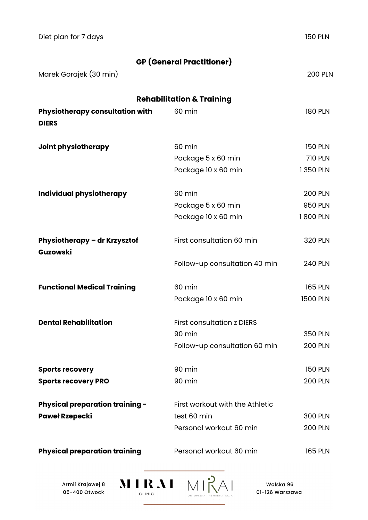| Diet plan for 7 days                            |                                      | <b>150 PLN</b>  |
|-------------------------------------------------|--------------------------------------|-----------------|
|                                                 | <b>GP</b> (General Practitioner)     |                 |
| Marek Gorajek (30 min)                          |                                      | <b>200 PLN</b>  |
|                                                 | <b>Rehabilitation &amp; Training</b> |                 |
| Physiotherapy consultation with<br><b>DIERS</b> | 60 min                               | <b>180 PLN</b>  |
| Joint physiotherapy                             | 60 min                               | <b>150 PLN</b>  |
|                                                 | Package 5 x 60 min                   | <b>710 PLN</b>  |
|                                                 | Package 10 x 60 min                  | 1350 PLN        |
| Individual physiotherapy                        | 60 min                               | <b>200 PLN</b>  |
|                                                 | Package 5 x 60 min                   | <b>950 PLN</b>  |
|                                                 | Package 10 x 60 min                  | 1800 PLN        |
| Physiotherapy - dr Krzysztof<br>Guzowski        | First consultation 60 min            | <b>320 PLN</b>  |
|                                                 | Follow-up consultation 40 min        | <b>240 PLN</b>  |
| <b>Functional Medical Training</b>              | 60 min                               | <b>165 PLN</b>  |
|                                                 | Package 10 x 60 min                  | <b>1500 PLN</b> |
| <b>Dental Rehabilitation</b>                    | <b>First consultation z DIERS</b>    |                 |
|                                                 | 90 min                               | <b>350 PLN</b>  |
|                                                 | Follow-up consultation 60 min        | <b>200 PLN</b>  |
| <b>Sports recovery</b>                          | 90 min                               | <b>150 PLN</b>  |
| <b>Sports recovery PRO</b>                      | 90 min                               | <b>200 PLN</b>  |
| <b>Physical preparation training -</b>          | First workout with the Athletic      |                 |
| <b>Paweł Rzepecki</b>                           | test 60 min                          | <b>300 PLN</b>  |
|                                                 | Personal workout 60 min              | <b>200 PLN</b>  |
| <b>Physical preparation training</b>            | Personal workout 60 min              | <b>165 PLN</b>  |

Armii Krajowej 8 05-400 Otwock

**MIRAI** CLINIC

 $MIRA$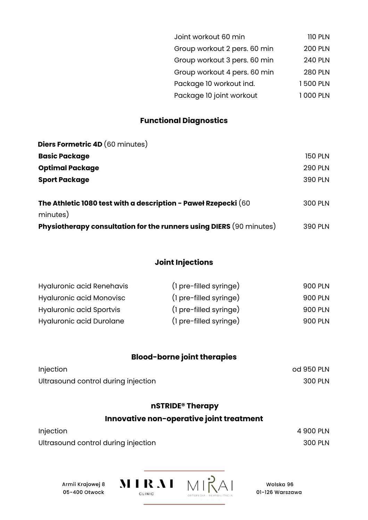| Joint workout 60 min         | <b>110 PLN</b> |
|------------------------------|----------------|
| Group workout 2 pers. 60 min | <b>200 PLN</b> |
| Group workout 3 pers. 60 min | <b>240 PLN</b> |
| Group workout 4 pers. 60 min | <b>280 PLN</b> |
| Package 10 workout ind.      | 1500 PLN       |
| Package 10 joint workout     | 1 000 PLN      |

# **Functional Diagnostics**

| <b>Diers Formetric 4D (60 minutes)</b>                              |                |
|---------------------------------------------------------------------|----------------|
| <b>Basic Package</b>                                                | <b>150 PLN</b> |
| <b>Optimal Package</b>                                              | <b>290 PLN</b> |
| <b>Sport Package</b>                                                | <b>390 PLN</b> |
|                                                                     |                |
| The Athletic 1080 test with a description - Paweł Rzepecki (60      | <b>300 PLN</b> |
| minutes)                                                            |                |
| Physiotherapy consultation for the runners using DIERS (90 minutes) | <b>390 PLN</b> |

# **Joint Injections**

| Hyaluronic acid Renehavis | (1 pre-filled syringe) | 900 PLN |
|---------------------------|------------------------|---------|
| Hyaluronic acid Monovisc  | (1 pre-filled syringe) | 900 PLN |
| Hyaluronic acid Sportvis  | (1 pre-filled syringe) | 900 PLN |
| Hyaluronic acid Durolane  | (1 pre-filled syringe) | 900 PLN |

# **Blood-borne joint therapies**

| Injection                           | od 950 PLN |
|-------------------------------------|------------|
| Ultrasound control during injection | 300 PLN    |

# **nSTRIDE® Therapy**

# **Innovative non-operative joint treatment**

| Injection                           | 4 900 PLN |
|-------------------------------------|-----------|
| Ultrasound control during injection | 300 PLN   |

Armii Krajowej 8 05-400 Otwock

MIRAI MIRAI CLINIC

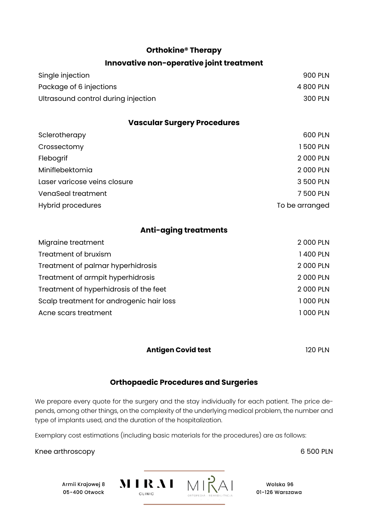#### **Orthokine® Therapy**

#### **Innovative non-operative joint treatment**

| Single injection                    | 900 PLN   |
|-------------------------------------|-----------|
| Package of 6 injections             | 4 800 PLN |
| Ultrasound control during injection | 300 PLN   |

#### **Vascular Surgery Procedures**

| Sclerotherapy                | 600 PLN        |
|------------------------------|----------------|
| Crossectomy                  | 1500 PLN       |
| Flebogrif                    | 2 000 PLN      |
| Miniflebektomia              | 2 000 PLN      |
| Laser varicose veins closure | 3 500 PLN      |
| VenaSeal treatment           | 7500 PLN       |
| <b>Hybrid procedures</b>     | To be arranged |
|                              |                |

## **Anti-aging treatments**

| Migraine treatment                       | 2 000 PLN |
|------------------------------------------|-----------|
| Treatment of bruxism                     | 1400 PLN  |
| Treatment of palmar hyperhidrosis        | 2000 PLN  |
| Treatment of armpit hyperhidrosis        | 2000 PLN  |
| Treatment of hyperhidrosis of the feet   | 2 000 PLN |
| Scalp treatment for androgenic hair loss | 1000 PLN  |
| Acne scars treatment                     | 1000 PLN  |

#### **Antigen Covid test** 120 PLN

#### **Orthopaedic Procedures and Surgeries**

We prepare every quote for the surgery and the stay individually for each patient. The price depends, among other things, on the complexity of the underlying medical problem, the number and type of implants used, and the duration of the hospitalization.

Exemplary cost estimations (including basic materials for the procedures) are as follows:

Knee arthroscopy 6 600 PLN

Armii Krajowej 8 05-400 Otwock